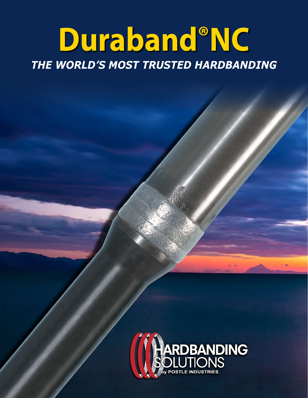# Duraband®NC THE WORLD'S MOST TRUSTED HARDBANDING

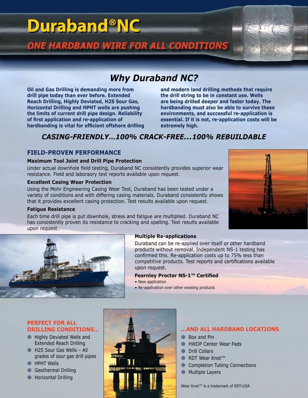# *Why Duraband NC?*

**Oil and Gas Drilling is demanding more from drill pipe today than ever before. Extended Reach Drilling, Highly Deviated, H2S Sour Gas, Horizontal Drilling and HPHT wells are pushing the limits of current drill pipe design. Reliability of first application and re-application of hardbanding is vital for efficient offshore drilling** 

**and modern land drilling methods that require the drill string to be in constant use. Wells are being drilled deeper and faster today. The hardbanding must also be able to survive these environments, and successful re-application is essential. If it is not, re-application costs will be extremely high.**

# *CASING-FRIENDLY…100% CRACK-FREE…100% REBUILDABLE*

# **Field-Proven Performance**

#### **Maximum Tool Joint and Drill Pipe Protection**

Under actual downhole field testing, Duraband NC consistently provides superior wear resistance. Field and laboraory test reports available upon request.

## **Excellent Casing Wear Protection**

Using the Mohr Engineering Casing Wear Test, Duraband has been tested under a variety of conditions and with differing casing materials. Duraband consistently shows that it provides excellent casing protection. Test results available upon request.

### **Fatigue Resistance**

Each time drill pipe is put downhole, stress and fatigue are multiplied. Duraband NC has consistently proven its resistance to cracking and spalling. Test results available upon request.

**Multiple Re-applications** Duraband can be re-applied over itself or other hardband products without removal. Independent NS-1 testing has confirmed this. Re-application costs up to 75% less than competitive products. Test reports and certifications available upon request.

#### **Fearnley Procter NS-1™ Certified**

- New application
- Re-application over other existing products

## **Perfect For All DRILLING Conditions…**

- Highly Deviated Wells and Extended Reach Drilling
- H2S Sour Gas Wells All grades of sour gas drill pipes
- **HPHT Wells**
- Geothermal Drilling •
- Horizontal Drilling •

# **ම** •

## **…AND ALL HARDBAND LOCATIONS**

- Box and Pin •
- HWDP Center Wear Pads •
- Drill Collars •
- RDT Wear Knot™ •
- Completion Tubing Connections
- Multiple Layers

Wear Knot™ is a trademark of RDT-USA





# *ONE HARDBAND WIRE FOR ALL CONDITIONS* **Duraband®NC**



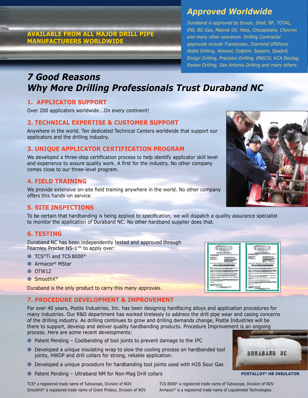# **available from all major drill pipe manufacturers worldwide**

# *Approved Worldwide*

*Duraband is approved by Exxon, Shell, BP, TOTAL, ENI, BG Gas, Maersk Oil, Hess, Chesapeake, Chevron and many other operators. Drilling Contractor approvals include Transocean, Diamond Offshore, Noble Drilling, Atwood, Dolphin, Saipem, Seadrill, Ensign Drilling, Precision Drilling, ENSCO, KCA Deutag, Rowan Drilling, San Antonio Drilling and many others.*

# *7 Good Reasons Why More Drilling Professionals Trust Duraband NC*

# **1. Applicator Support**

Over 200 applicators worldwide...On every continent!

# **2. Technical Expertise & Customer Support**

Anywhere in the world. Ten dedicated Technical Centers worldwide that support our applicators and the drilling industry.

# **3. UNIQUE Applicator Certification Program**

We developed a three-step certification process to help identify applicator skill level and experience to assure quality work. A first for the industry. No other company comes close to our three-level program.

# **4. Field Training**

We provide extensive on-site field training anywhere in the world. No other company offers this hands-on service.

# **5. Site Inspections**

To be certain that hardbanding is being applied to specification, we will dispatch a quality assurance specialist to monitor the application of Duraband NC. No other hardband supplier does that.

# **6. Testing**

Duraband NC has been independently tested and approved through Fearnley Procter NS-1™ to apply over:

- ◎ TCS®Ti and TCS 8000®
- Armacor® MStar •
- ◎ OTW12
- ◎ SmoothX®

Duraband is the only product to carry this many approvals.

# **7. Procedure Development & Improvement**

For over 40 years, Postle Industries, Inc. has been designing hardfacing alloys and application procedures for many industries. Our R&D department has worked tirelessly to address the drill pipe wear and casing concerns of the drilling industry. As drilling continues to grow and drilling demands change, Postle Industries will be there to support, develop and deliver quality hardbanding products. Procedure Improvement is an ongoing process. Here are some recent developments:

- Patent Pending Coolbanding of tool joints to prevent damage to the IPC •
- $\circledcirc$  Developed a unique insulating wrap to slow the cooling process on hardbanded tool joints, HWDP and drill collars for strong, reliable application.
- Developed a unique procedure for hardbanding tool joints used with H2S Sour Gas •
- Patent Pending Ultraband NM for Non-Mag Drill collars  $\circledcirc$





#### **Postalloy® HB Insulator**



|                                         | <b>Commercial Rev</b><br>---                                       |
|-----------------------------------------|--------------------------------------------------------------------|
| ---<br>--                               | --                                                                 |
|                                         |                                                                    |
| --<br>-                                 | 10021                                                              |
| CONTRACTOR CARDS<br>----<br>U35600<br>÷ | <b>CONTRACTOR</b><br>---<br><b>CONFIDENTIAL</b><br>æ               |
| ---<br>----<br>---                      | <b>SUSPICIO A MARINE DI MARINE DI MARINE</b><br>14.04              |
| <b>Phone</b><br>--<br>__                | <b>ISLAND IN ONL CREATING</b><br><b>Latinum</b> contractor<br>---- |
| <b><i>CONTRACTOR</i></b>                | -<br>----<br><b>CARD SURPRIVING MICH.</b>                          |
| waarvoore                               |                                                                    |
| $-1$                                    | ********<br><b>COLLEGE</b><br><b><i><u>Contractor</u></i></b>      |